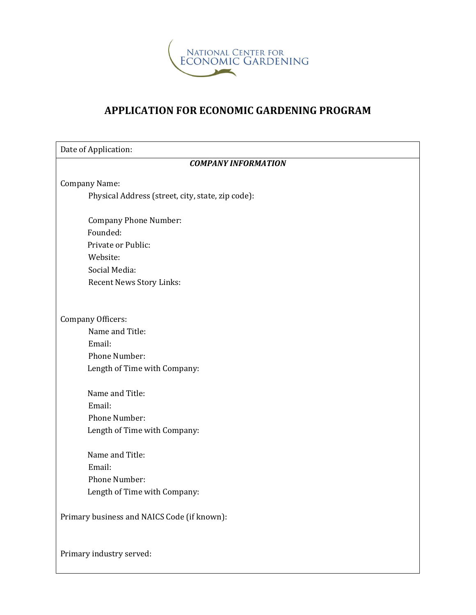

## **APPLICATION FOR ECONOMIC GARDENING PROGRAM**

| Date of Application:                              |  |  |  |  |
|---------------------------------------------------|--|--|--|--|
| <b>COMPANY INFORMATION</b>                        |  |  |  |  |
| Company Name:                                     |  |  |  |  |
| Physical Address (street, city, state, zip code): |  |  |  |  |
| <b>Company Phone Number:</b>                      |  |  |  |  |
| Founded:                                          |  |  |  |  |
| Private or Public:                                |  |  |  |  |
| Website:                                          |  |  |  |  |
| Social Media:                                     |  |  |  |  |
| Recent News Story Links:                          |  |  |  |  |
|                                                   |  |  |  |  |
| <b>Company Officers:</b>                          |  |  |  |  |
| Name and Title:                                   |  |  |  |  |
| Email:                                            |  |  |  |  |
| Phone Number:                                     |  |  |  |  |
| Length of Time with Company:                      |  |  |  |  |
| Name and Title:                                   |  |  |  |  |
| Email:                                            |  |  |  |  |
| Phone Number:                                     |  |  |  |  |
| Length of Time with Company:                      |  |  |  |  |
| Name and Title:                                   |  |  |  |  |
| Email:                                            |  |  |  |  |
| Phone Number:                                     |  |  |  |  |
| Length of Time with Company:                      |  |  |  |  |
| Primary business and NAICS Code (if known):       |  |  |  |  |
| Primary industry served:                          |  |  |  |  |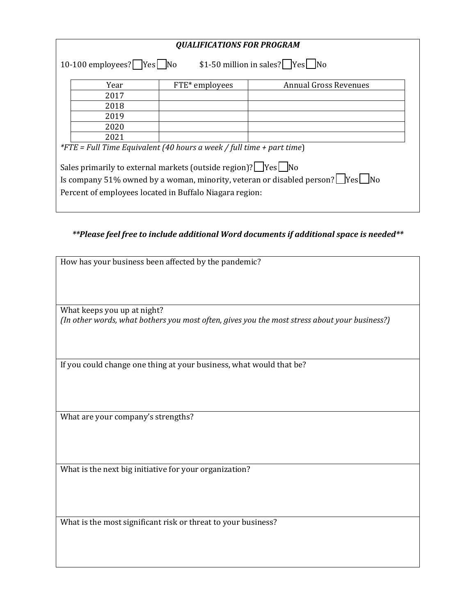| <b>QUALIFICATIONS FOR PROGRAM</b>                                                           |      |                |                              |  |  |
|---------------------------------------------------------------------------------------------|------|----------------|------------------------------|--|--|
|                                                                                             |      |                |                              |  |  |
| \$1-50 million in sales? $Yes$ No<br>10-100 employees? $\sqrt{Y}$ Yes $\sqrt{N}$            |      |                |                              |  |  |
|                                                                                             |      |                |                              |  |  |
|                                                                                             | Year | FTE* employees | <b>Annual Gross Revenues</b> |  |  |
|                                                                                             | 2017 |                |                              |  |  |
|                                                                                             | 2018 |                |                              |  |  |
|                                                                                             | 2019 |                |                              |  |  |
|                                                                                             | 2020 |                |                              |  |  |
|                                                                                             | 2021 |                |                              |  |  |
| <i>*FTE</i> = Full Time Equivalent (40 hours a week / full time + part time)                |      |                |                              |  |  |
|                                                                                             |      |                |                              |  |  |
| Sales primarily to external markets (outside region)?   Yes   No                            |      |                |                              |  |  |
| Is company 51% owned by a woman, minority, veteran or disabled person? $\Box$ Yes $\Box$ No |      |                |                              |  |  |
|                                                                                             |      |                |                              |  |  |
| Percent of employees located in Buffalo Niagara region:                                     |      |                |                              |  |  |
|                                                                                             |      |                |                              |  |  |

*\*\*Please feel free to include additional Word documents if additional space is needed\*\**

| How has your business been affected by the pandemic?                                          |  |  |  |
|-----------------------------------------------------------------------------------------------|--|--|--|
|                                                                                               |  |  |  |
|                                                                                               |  |  |  |
|                                                                                               |  |  |  |
|                                                                                               |  |  |  |
|                                                                                               |  |  |  |
|                                                                                               |  |  |  |
|                                                                                               |  |  |  |
| What keeps you up at night?                                                                   |  |  |  |
| (In other words, what bothers you most often, gives you the most stress about your business?) |  |  |  |
|                                                                                               |  |  |  |
|                                                                                               |  |  |  |
|                                                                                               |  |  |  |
|                                                                                               |  |  |  |
|                                                                                               |  |  |  |
|                                                                                               |  |  |  |
| If you could change one thing at your business, what would that be?                           |  |  |  |
|                                                                                               |  |  |  |
|                                                                                               |  |  |  |
|                                                                                               |  |  |  |
|                                                                                               |  |  |  |
|                                                                                               |  |  |  |
|                                                                                               |  |  |  |
|                                                                                               |  |  |  |
| What are your company's strengths?                                                            |  |  |  |
|                                                                                               |  |  |  |
|                                                                                               |  |  |  |
|                                                                                               |  |  |  |
|                                                                                               |  |  |  |
|                                                                                               |  |  |  |
|                                                                                               |  |  |  |
|                                                                                               |  |  |  |
|                                                                                               |  |  |  |
| What is the next big initiative for your organization?                                        |  |  |  |
|                                                                                               |  |  |  |
|                                                                                               |  |  |  |
|                                                                                               |  |  |  |
|                                                                                               |  |  |  |
|                                                                                               |  |  |  |

What is the most significant risk or threat to your business?